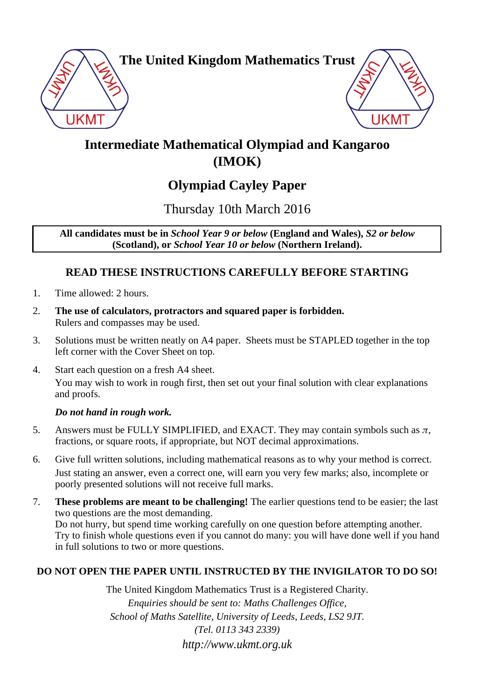

**The United Kingdom Mathematics Trust**



# **Intermediate Mathematical Olympiad and Kangaroo (IMOK)**

## **Olympiad Cayley Paper**

Thursday 10th March 2016

**All candidates must be in** *School Year 9 or below* **(England and Wales),** *S2 or below* **(Scotland), or** *School Year 10 or below* **(Northern Ireland).**

## **READ THESE INSTRUCTIONS CAREFULLY BEFORE STARTING**

- 1. Time allowed: 2 hours.
- 2. **The use of calculators, protractors and squared paper is forbidden.** Rulers and compasses may be used.
- 3. Solutions must be written neatly on A4 paper. Sheets must be STAPLED together in the top left corner with the Cover Sheet on top.
- 4. Start each question on a fresh A4 sheet. You may wish to work in rough first, then set out your final solution with clear explanations and proofs.

### *Do not hand in rough work.*

- 5. Answers must be FULLY SIMPLIFIED, and EXACT. They may contain symbols such as  $\pi$ , fractions, or square roots, if appropriate, but NOT decimal approximations.
- 6. Give full written solutions, including mathematical reasons as to why your method is correct. Just stating an answer, even a correct one, will earn you very few marks; also, incomplete or poorly presented solutions will not receive full marks.
- 7. **These problems are meant to be challenging!** The earlier questions tend to be easier; the last two questions are the most demanding. Do not hurry, but spend time working carefully on one question before attempting another.

Try to finish whole questions even if you cannot do many: you will have done well if you hand in full solutions to two or more questions.

### **DO NOT OPEN THE PAPER UNTIL INSTRUCTED BY THE INVIGILATOR TO DO SO!**

The United Kingdom Mathematics Trust is a Registered Charity. *Enquiries should be sent to: Maths Challenges Office, School of Maths Satellite, University of Leeds, Leeds, LS2 9JT. (Tel. 0113 343 2339) http://www.ukmt.org.uk*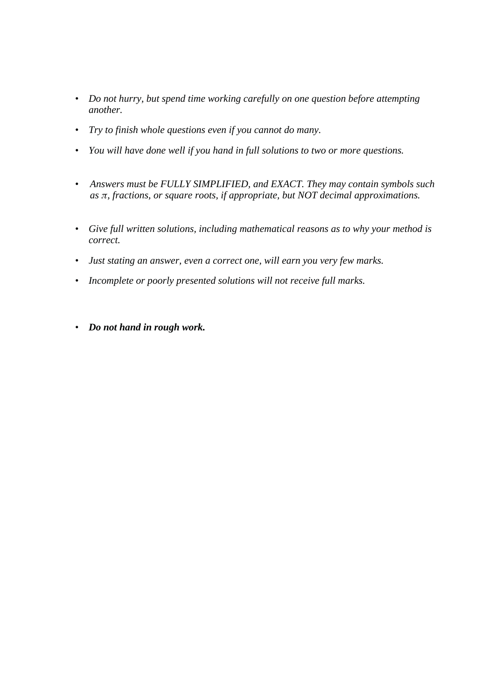- *Do not hurry, but spend time working carefully on one question before attempting another.*
- *Try to finish whole questions even if you cannot do many.*
- *You will have done well if you hand in full solutions to two or more questions.*
- *Answers must be FULLY SIMPLIFIED, and EXACT. They may contain symbols such as π, fractions, or square roots, if appropriate, but NOT decimal approximations.*
- *Give full written solutions, including mathematical reasons as to why your method is correct.*
- *Just stating an answer, even a correct one, will earn you very few marks.*
- *Incomplete or poorly presented solutions will not receive full marks.*
- *Do not hand in rough work.*